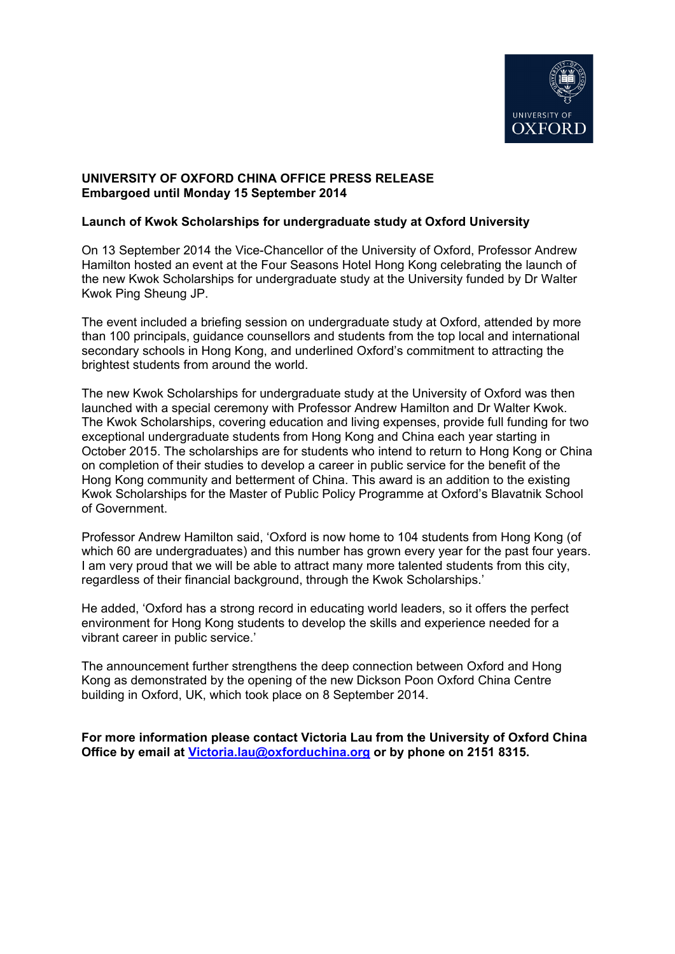

# **UNIVERSITY OF OXFORD CHINA OFFICE PRESS RELEASE Embargoed until Monday 15 September 2014**

## **Launch of Kwok Scholarships for undergraduate study at Oxford University**

On 13 September 2014 the Vice-Chancellor of the University of Oxford, Professor Andrew Hamilton hosted an event at the Four Seasons Hotel Hong Kong celebrating the launch of the new Kwok Scholarships for undergraduate study at the University funded by Dr Walter Kwok Ping Sheung JP.

The event included a briefing session on undergraduate study at Oxford, attended by more than 100 principals, guidance counsellors and students from the top local and international secondary schools in Hong Kong, and underlined Oxford's commitment to attracting the brightest students from around the world.

The new Kwok Scholarships for undergraduate study at the University of Oxford was then launched with a special ceremony with Professor Andrew Hamilton and Dr Walter Kwok. The Kwok Scholarships, covering education and living expenses, provide full funding for two exceptional undergraduate students from Hong Kong and China each year starting in October 2015. The scholarships are for students who intend to return to Hong Kong or China on completion of their studies to develop a career in public service for the benefit of the Hong Kong community and betterment of China. This award is an addition to the existing Kwok Scholarships for the Master of Public Policy Programme at Oxford's Blavatnik School of Government.

Professor Andrew Hamilton said, 'Oxford is now home to 104 students from Hong Kong (of which 60 are undergraduates) and this number has grown every year for the past four years. I am very proud that we will be able to attract many more talented students from this city, regardless of their financial background, through the Kwok Scholarships.'

He added, 'Oxford has a strong record in educating world leaders, so it offers the perfect environment for Hong Kong students to develop the skills and experience needed for a vibrant career in public service.'

The announcement further strengthens the deep connection between Oxford and Hong Kong as demonstrated by the opening of the new Dickson Poon Oxford China Centre building in Oxford, UK, which took place on 8 September 2014.

**For more information please contact Victoria Lau from the University of Oxford China Office by email at [Victoria.lau@oxforduchina.org](mailto:Victoria.lau@oxforduchina.org) or by phone on 2151 8315.**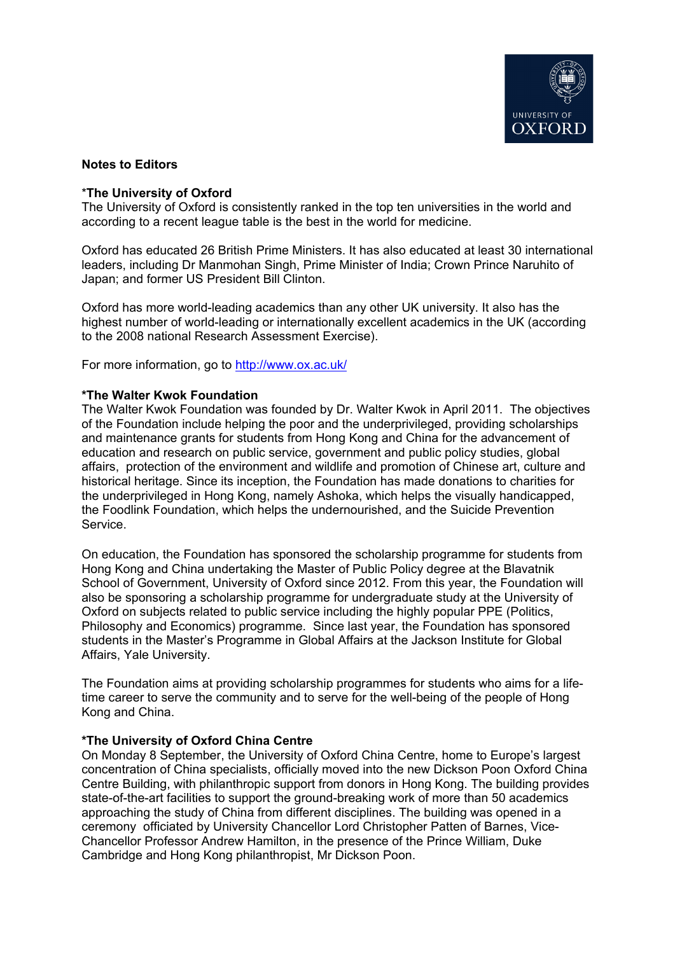

### **Notes to Editors**

### \***The University of Oxford**

The University of Oxford is consistently ranked in the top ten universities in the world and according to a recent league table is the best in the world for medicine.

Oxford has educated 26 British Prime Ministers. It has also educated at least 30 international leaders, including Dr Manmohan Singh, Prime Minister of India; Crown Prince Naruhito of Japan; and former US President Bill Clinton.

Oxford has more world-leading academics than any other UK university. It also has the highest number of world-leading or internationally excellent academics in the UK (according to the 2008 national Research Assessment Exercise).

For more information, go to<http://www.ox.ac.uk/>

#### **\*The Walter Kwok Foundation**

The Walter Kwok Foundation was founded by Dr. Walter Kwok in April 2011. The objectives of the Foundation include helping the poor and the underprivileged, providing scholarships and maintenance grants for students from Hong Kong and China for the advancement of education and research on public service, government and public policy studies, global affairs, protection of the environment and wildlife and promotion of Chinese art, culture and historical heritage. Since its inception, the Foundation has made donations to charities for the underprivileged in Hong Kong, namely Ashoka, which helps the visually handicapped, the Foodlink Foundation, which helps the undernourished, and the Suicide Prevention Service.

On education, the Foundation has sponsored the scholarship programme for students from Hong Kong and China undertaking the Master of Public Policy degree at the Blavatnik School of Government, University of Oxford since 2012. From this year, the Foundation will also be sponsoring a scholarship programme for undergraduate study at the University of Oxford on subjects related to public service including the highly popular PPE (Politics, Philosophy and Economics) programme. Since last year, the Foundation has sponsored students in the Master's Programme in Global Affairs at the Jackson Institute for Global Affairs, Yale University.

The Foundation aims at providing scholarship programmes for students who aims for a lifetime career to serve the community and to serve for the well-being of the people of Hong Kong and China.

#### **\*The University of Oxford China Centre**

On Monday 8 September, the University of Oxford China Centre, home to Europe's largest concentration of China specialists, officially moved into the new Dickson Poon Oxford China Centre Building, with philanthropic support from donors in Hong Kong. The building provides state-of-the-art facilities to support the ground-breaking work of more than 50 academics approaching the study of China from different disciplines. The building was opened in a ceremony officiated by University Chancellor Lord Christopher Patten of Barnes, Vice-Chancellor Professor Andrew Hamilton, in the presence of the Prince William, Duke Cambridge and Hong Kong philanthropist, Mr Dickson Poon.